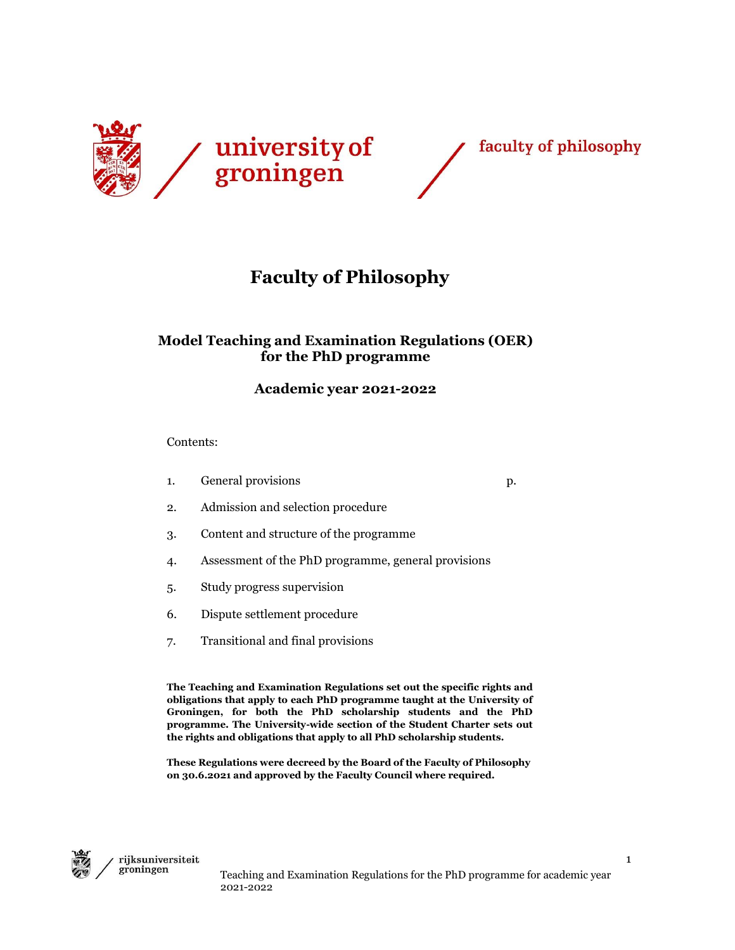



# **Faculty of Philosophy**

# **Model Teaching and Examination Regulations (OER) for the PhD programme**

# **Academic year 2021-2022**

Contents:

- 1. General provisions p.
- 2. Admission and selection procedure
- 3. Content and structure of the programme
- 4. Assessment of the PhD programme, general provisions
- 5. Study progress supervision
- 6. Dispute settlement procedure
- 7. Transitional and final provisions

**The Teaching and Examination Regulations set out the specific rights and obligations that apply to each PhD programme taught at the University of Groningen, for both the PhD scholarship students and the PhD programme. The University-wide section of the Student Charter sets out the rights and obligations that apply to all PhD scholarship students.**

**These Regulations were decreed by the Board of the Faculty of Philosophy on 30.6.2021 and approved by the Faculty Council where required.**

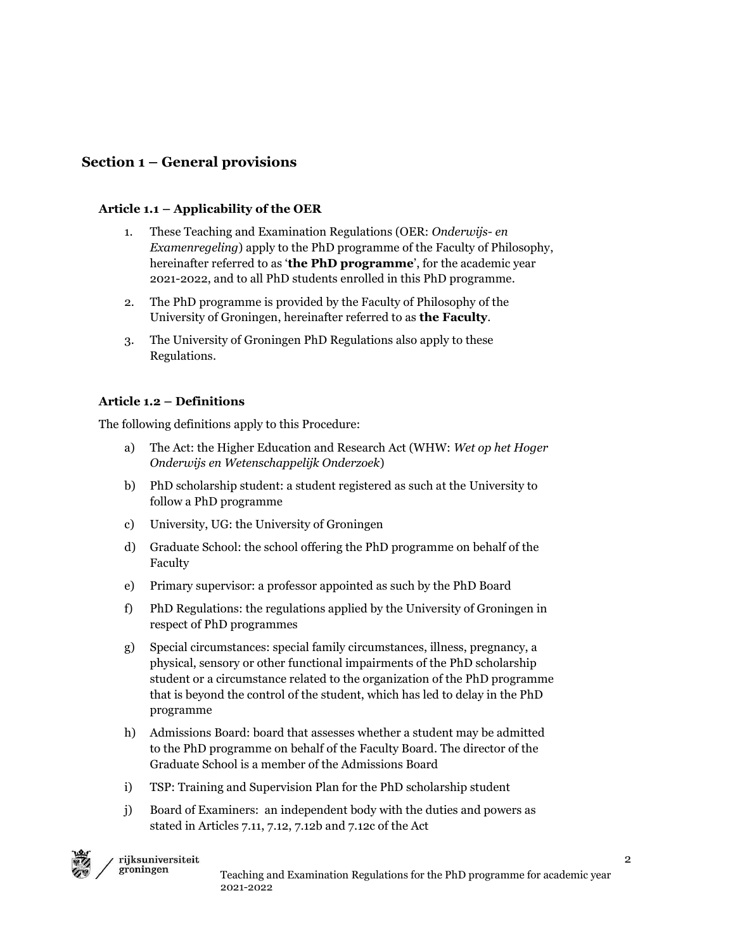# **Section 1 – General provisions**

#### **Article 1.1 – Applicability of the OER**

- 1. These Teaching and Examination Regulations (OER: *Onderwijs- en Examenregeling*) apply to the PhD programme of the Faculty of Philosophy, hereinafter referred to as '**the PhD programme**', for the academic year 2021-2022, and to all PhD students enrolled in this PhD programme.
- 2. The PhD programme is provided by the Faculty of Philosophy of the University of Groningen, hereinafter referred to as **the Faculty**.
- 3. The University of Groningen PhD Regulations also apply to these Regulations.

#### **Article 1.2 – Definitions**

The following definitions apply to this Procedure:

- a) The Act: the Higher Education and Research Act (WHW: *Wet op het Hoger Onderwijs en Wetenschappelijk Onderzoek*)
- b) PhD scholarship student: a student registered as such at the University to follow a PhD programme
- c) University, UG: the University of Groningen
- d) Graduate School: the school offering the PhD programme on behalf of the Faculty
- e) Primary supervisor: a professor appointed as such by the PhD Board
- f) PhD Regulations: the regulations applied by the University of Groningen in respect of PhD programmes
- g) Special circumstances: special family circumstances, illness, pregnancy, a physical, sensory or other functional impairments of the PhD scholarship student or a circumstance related to the organization of the PhD programme that is beyond the control of the student, which has led to delay in the PhD programme
- h) Admissions Board: board that assesses whether a student may be admitted to the PhD programme on behalf of the Faculty Board. The director of the Graduate School is a member of the Admissions Board
- i) TSP: Training and Supervision Plan for the PhD scholarship student
- j) Board of Examiners: an independent body with the duties and powers as stated in Articles 7.11, 7.12, 7.12b and 7.12c of the Act

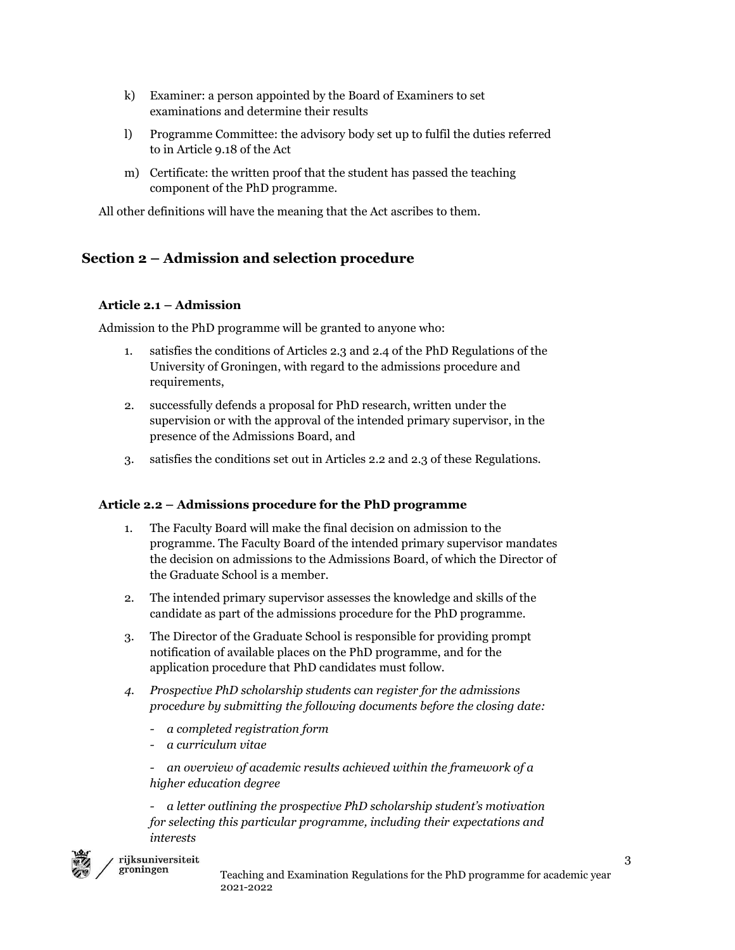- k) Examiner: a person appointed by the Board of Examiners to set examinations and determine their results
- l) Programme Committee: the advisory body set up to fulfil the duties referred to in Article 9.18 of the Act
- m) Certificate: the written proof that the student has passed the teaching component of the PhD programme.

All other definitions will have the meaning that the Act ascribes to them.

# **Section 2 – Admission and selection procedure**

## **Article 2.1 – Admission**

Admission to the PhD programme will be granted to anyone who:

- satisfies the conditions of Articles 2.3 and 2.4 of the PhD Regulations of the University of Groningen, with regard to the admissions procedure and requirements,
- 2. successfully defends a proposal for PhD research, written under the supervision or with the approval of the intended primary supervisor, in the presence of the Admissions Board, and
- 3. satisfies the conditions set out in Articles 2.2 and 2.3 of these Regulations.

## **Article 2.2 – Admissions procedure for the PhD programme**

- 1. The Faculty Board will make the final decision on admission to the programme. The Faculty Board of the intended primary supervisor mandates the decision on admissions to the Admissions Board, of which the Director of the Graduate School is a member.
- 2. The intended primary supervisor assesses the knowledge and skills of the candidate as part of the admissions procedure for the PhD programme.
- 3. The Director of the Graduate School is responsible for providing prompt notification of available places on the PhD programme, and for the application procedure that PhD candidates must follow.
- *4. Prospective PhD scholarship students can register for the admissions procedure by submitting the following documents before the closing date:*
	- *- a completed registration form*
	- *- a curriculum vitae*
	- *- an overview of academic results achieved within the framework of a higher education degree*

*- a letter outlining the prospective PhD scholarship student's motivation for selecting this particular programme, including their expectations and interests*



#### rijksuniversiteit groningen

Teaching and Examination Regulations for the PhD programme for academic year 2021-2022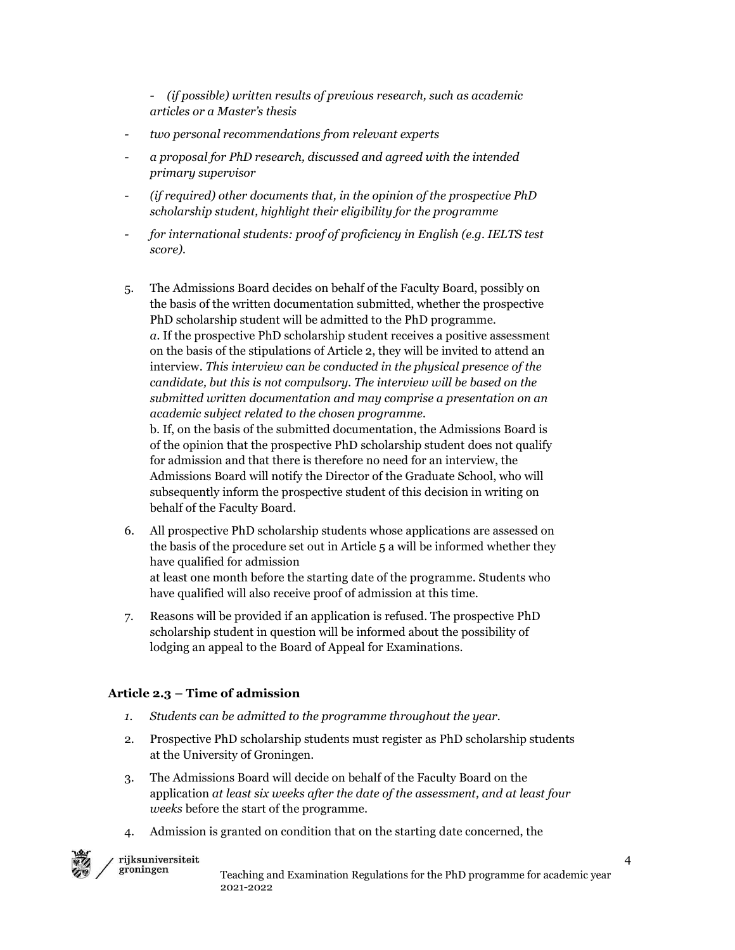*- (if possible) written results of previous research, such as academic articles or a Master's thesis*

- *- two personal recommendations from relevant experts*
- *- a proposal for PhD research, discussed and agreed with the intended primary supervisor*
- *- (if required) other documents that, in the opinion of the prospective PhD scholarship student, highlight their eligibility for the programme*
- *- for international students: proof of proficiency in English (e.g. IELTS test score).*
- 5. The Admissions Board decides on behalf of the Faculty Board, possibly on the basis of the written documentation submitted, whether the prospective PhD scholarship student will be admitted to the PhD programme. *a.* If the prospective PhD scholarship student receives a positive assessment on the basis of the stipulations of Article 2, they will be invited to attend an interview. *This interview can be conducted in the physical presence of the candidate, but this is not compulsory. The interview will be based on the submitted written documentation and may comprise a presentation on an academic subject related to the chosen programme.* b. If, on the basis of the submitted documentation, the Admissions Board is of the opinion that the prospective PhD scholarship student does not qualify for admission and that there is therefore no need for an interview, the Admissions Board will notify the Director of the Graduate School, who will

subsequently inform the prospective student of this decision in writing on behalf of the Faculty Board.

- 6. All prospective PhD scholarship students whose applications are assessed on the basis of the procedure set out in Article 5 a will be informed whether they have qualified for admission at least one month before the starting date of the programme. Students who have qualified will also receive proof of admission at this time.
- 7. Reasons will be provided if an application is refused. The prospective PhD scholarship student in question will be informed about the possibility of lodging an appeal to the Board of Appeal for Examinations.

#### **Article 2.3 – Time of admission**

- *1. Students can be admitted to the programme throughout the year.*
- 2. Prospective PhD scholarship students must register as PhD scholarship students at the University of Groningen.
- 3. The Admissions Board will decide on behalf of the Faculty Board on the application *at least six weeks after the date of the assessment, and at least four weeks* before the start of the programme.
- 4. Admission is granted on condition that on the starting date concerned, the

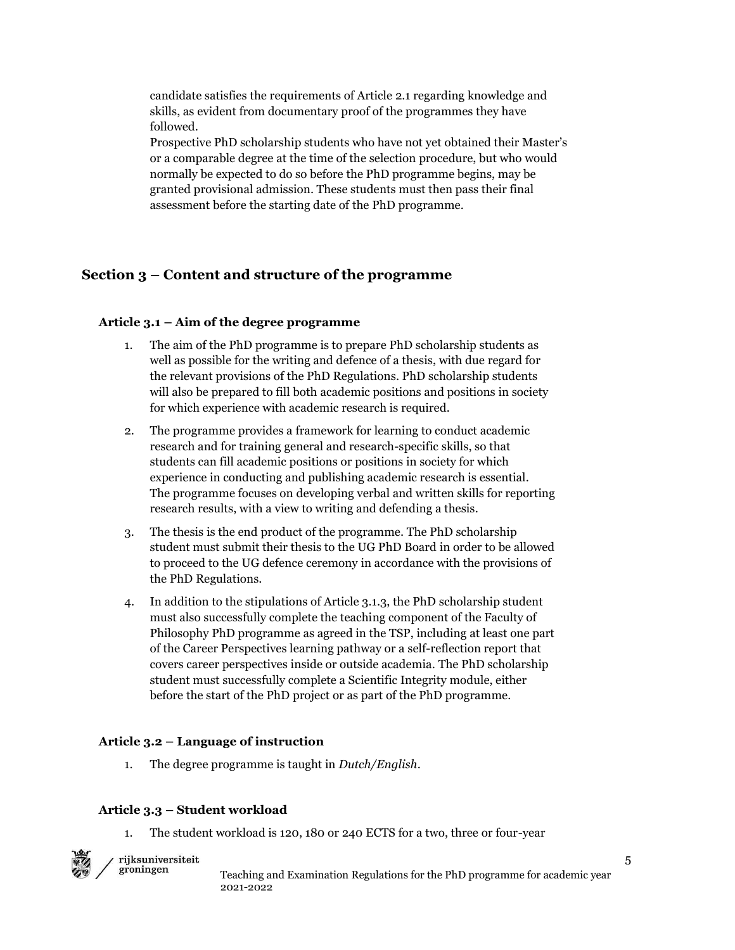candidate satisfies the requirements of Article 2.1 regarding knowledge and skills, as evident from documentary proof of the programmes they have followed.

Prospective PhD scholarship students who have not yet obtained their Master's or a comparable degree at the time of the selection procedure, but who would normally be expected to do so before the PhD programme begins, may be granted provisional admission. These students must then pass their final assessment before the starting date of the PhD programme.

## **Section 3 – Content and structure of the programme**

#### **Article 3.1 – Aim of the degree programme**

- 1. The aim of the PhD programme is to prepare PhD scholarship students as well as possible for the writing and defence of a thesis, with due regard for the relevant provisions of the PhD Regulations. PhD scholarship students will also be prepared to fill both academic positions and positions in society for which experience with academic research is required.
- 2. The programme provides a framework for learning to conduct academic research and for training general and research-specific skills, so that students can fill academic positions or positions in society for which experience in conducting and publishing academic research is essential. The programme focuses on developing verbal and written skills for reporting research results, with a view to writing and defending a thesis.
- 3. The thesis is the end product of the programme. The PhD scholarship student must submit their thesis to the UG PhD Board in order to be allowed to proceed to the UG defence ceremony in accordance with the provisions of the PhD Regulations.
- 4. In addition to the stipulations of Article 3.1.3, the PhD scholarship student must also successfully complete the teaching component of the Faculty of Philosophy PhD programme as agreed in the TSP, including at least one part of the Career Perspectives learning pathway or a self-reflection report that covers career perspectives inside or outside academia. The PhD scholarship student must successfully complete a Scientific Integrity module, either before the start of the PhD project or as part of the PhD programme.

#### **Article 3.2 – Language of instruction**

1. The degree programme is taught in *Dutch/English*.

#### **Article 3.3 – Student workload**

 $\noindent \textbf{rijk} \textbf{universiteit}$ groningen

1. The student workload is 120, 180 or 240 ECTS for a two, three or four-year



Teaching and Examination Regulations for the PhD programme for academic year 2021-2022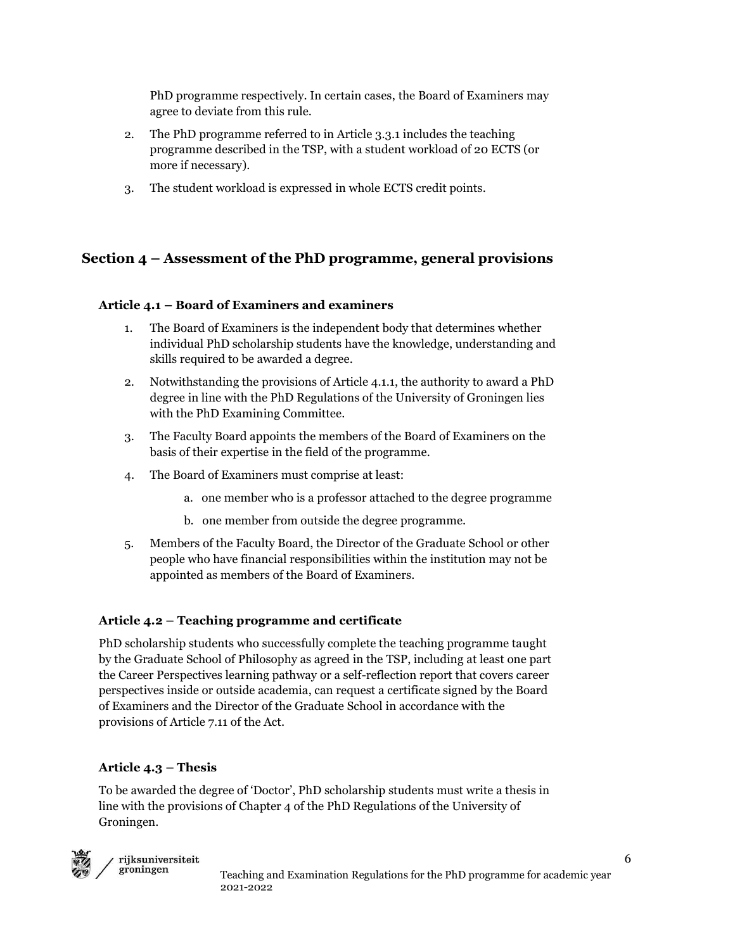PhD programme respectively. In certain cases, the Board of Examiners may agree to deviate from this rule.

- 2. The PhD programme referred to in Article 3.3.1 includes the teaching programme described in the TSP, with a student workload of 20 ECTS (or more if necessary).
- 3. The student workload is expressed in whole ECTS credit points.

# **Section 4 – Assessment of the PhD programme, general provisions**

## **Article 4.1 – Board of Examiners and examiners**

- 1. The Board of Examiners is the independent body that determines whether individual PhD scholarship students have the knowledge, understanding and skills required to be awarded a degree.
- 2. Notwithstanding the provisions of Article 4.1.1, the authority to award a PhD degree in line with the PhD Regulations of the University of Groningen lies with the PhD Examining Committee.
- 3. The Faculty Board appoints the members of the Board of Examiners on the basis of their expertise in the field of the programme.
- 4. The Board of Examiners must comprise at least:
	- a. one member who is a professor attached to the degree programme
	- b. one member from outside the degree programme.
- 5. Members of the Faculty Board, the Director of the Graduate School or other people who have financial responsibilities within the institution may not be appointed as members of the Board of Examiners.

## **Article 4.2 – Teaching programme and certificate**

PhD scholarship students who successfully complete the teaching programme taught by the Graduate School of Philosophy as agreed in the TSP, including at least one part the Career Perspectives learning pathway or a self-reflection report that covers career perspectives inside or outside academia, can request a certificate signed by the Board of Examiners and the Director of the Graduate School in accordance with the provisions of Article 7.11 of the Act.

## **Article 4.3 – Thesis**

To be awarded the degree of 'Doctor', PhD scholarship students must write a thesis in line with the provisions of Chapter 4 of the PhD Regulations of the University of Groningen.

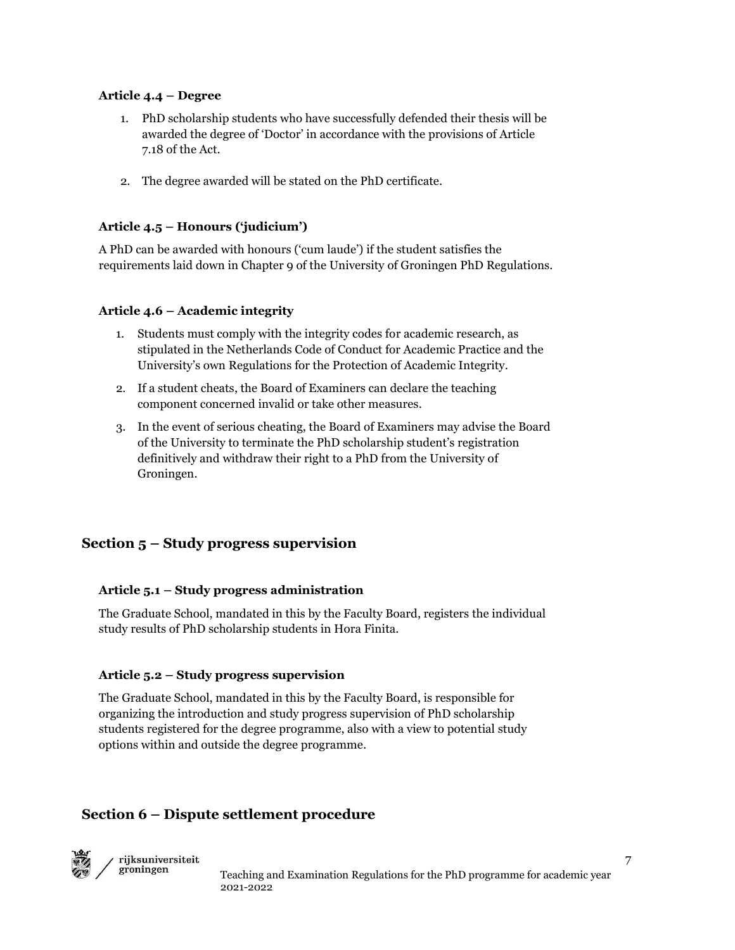#### **Article 4.4 – Degree**

- 1. PhD scholarship students who have successfully defended their thesis will be awarded the degree of 'Doctor' in accordance with the provisions of Article 7.18 of the Act.
- 2. The degree awarded will be stated on the PhD certificate.

## **Article 4.5 – Honours ('judicium')**

A PhD can be awarded with honours ('cum laude') if the student satisfies the requirements laid down in Chapter 9 of the University of Groningen PhD Regulations.

#### **Article 4.6 – Academic integrity**

- 1. Students must comply with the integrity codes for academic research, as stipulated in the Netherlands Code of Conduct for Academic Practice and the University's own Regulations for the Protection of Academic Integrity.
- 2. If a student cheats, the Board of Examiners can declare the teaching component concerned invalid or take other measures.
- 3. In the event of serious cheating, the Board of Examiners may advise the Board of the University to terminate the PhD scholarship student's registration definitively and withdraw their right to a PhD from the University of Groningen.

# **Section 5 – Study progress supervision**

#### **Article 5.1 – Study progress administration**

The Graduate School, mandated in this by the Faculty Board, registers the individual study results of PhD scholarship students in Hora Finita.

#### **Article 5.2 – Study progress supervision**

The Graduate School, mandated in this by the Faculty Board, is responsible for organizing the introduction and study progress supervision of PhD scholarship students registered for the degree programme, also with a view to potential study options within and outside the degree programme.

# **Section 6 – Dispute settlement procedure**